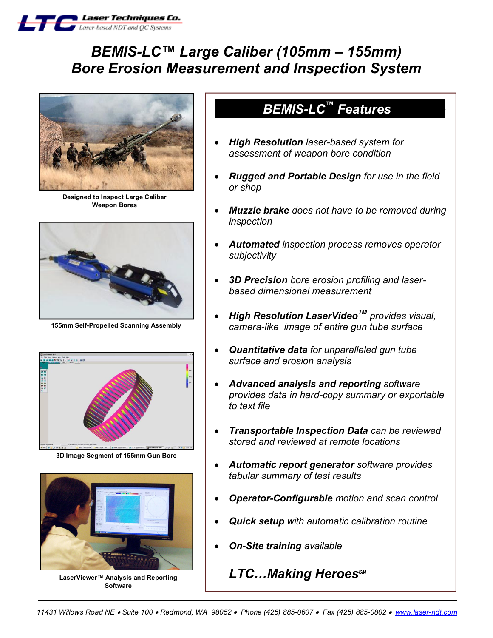

# *BEMIS-LC™ Large Caliber (105mm – 155mm) Bore Erosion Measurement and Inspection System*



**Designed to Inspect Large Caliber Weapon Bores**



**155mm Self-Propelled Scanning Assembly**



**3D Image Segment of 155mm Gun Bore**



**LaserViewer™ Analysis and Reporting Software**

## *BEMIS-LC*<sup>™</sup> Features

- · *High Resolution laser-based system for assessment of weapon bore condition*
- · *Rugged and Portable Design for use in the field or shop*
- · *Muzzle brake does not have to be removed during inspection*
- · *Automated inspection process removes operator subjectivity*
- · *3D Precision bore erosion profiling and laserbased dimensional measurement*
- · *High Resolution LaserVideoTM provides visual, camera-like image of entire gun tube surface*
- · *Quantitative data for unparalleled gun tube surface and erosion analysis*
- · *Advanced analysis and reporting software provides data in hard-copy summary or exportable to text file*
- · *Transportable Inspection Data can be reviewed stored and reviewed at remote locations*
- · *Automatic report generator software provides tabular summary of test results*
- · *Operator-Configurable motion and scan control*
- · *Quick setup with automatic calibration routine*
- · *On-Site training available*

## **LTC...Making Heroes**SM